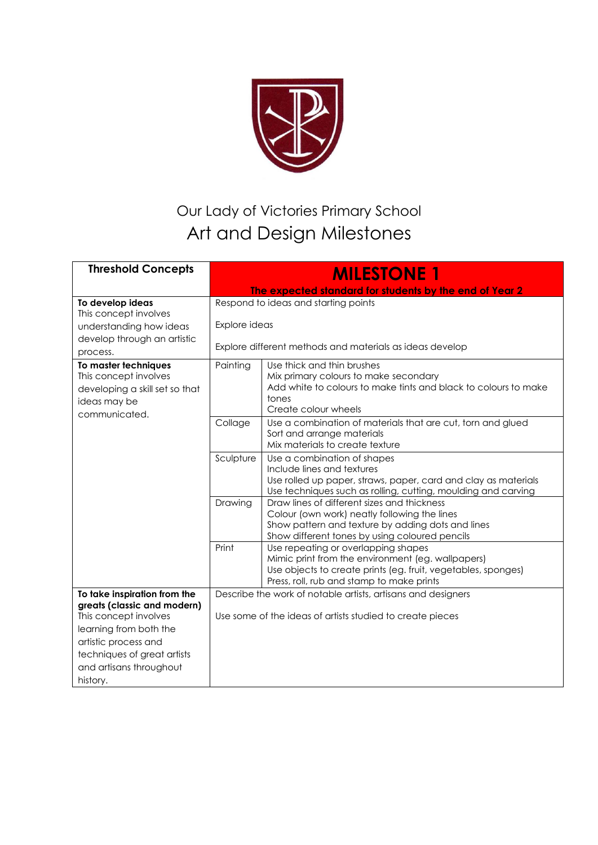

## Our Lady of Victories Primary School Art and Design Milestones

| <b>Threshold Concepts</b>                                                                                        | <b>MILESTONE 1</b>                                                        |                                                                                                                                                                                                        |  |
|------------------------------------------------------------------------------------------------------------------|---------------------------------------------------------------------------|--------------------------------------------------------------------------------------------------------------------------------------------------------------------------------------------------------|--|
|                                                                                                                  |                                                                           | The expected standard for students by the end of Year 2                                                                                                                                                |  |
| To develop ideas                                                                                                 |                                                                           | Respond to ideas and starting points                                                                                                                                                                   |  |
| This concept involves<br>understanding how ideas<br>develop through an artistic                                  | Explore ideas<br>Explore different methods and materials as ideas develop |                                                                                                                                                                                                        |  |
| process.                                                                                                         |                                                                           | Use thick and thin brushes                                                                                                                                                                             |  |
| To master techniques<br>This concept involves<br>developing a skill set so that<br>ideas may be<br>communicated. | Painting                                                                  | Mix primary colours to make secondary<br>Add white to colours to make tints and black to colours to make<br>tones<br>Create colour wheels                                                              |  |
|                                                                                                                  | Collage                                                                   | Use a combination of materials that are cut, torn and glued<br>Sort and arrange materials<br>Mix materials to create texture                                                                           |  |
|                                                                                                                  | Sculpture                                                                 | Use a combination of shapes<br>Include lines and textures<br>Use rolled up paper, straws, paper, card and clay as materials<br>Use techniques such as rolling, cutting, moulding and carving           |  |
|                                                                                                                  | Drawing                                                                   | Draw lines of different sizes and thickness<br>Colour (own work) neatly following the lines<br>Show pattern and texture by adding dots and lines<br>Show different tones by using coloured pencils     |  |
|                                                                                                                  | Print                                                                     | Use repeating or overlapping shapes<br>Mimic print from the environment (eg. wallpapers)<br>Use objects to create prints (eg. fruit, vegetables, sponges)<br>Press, roll, rub and stamp to make prints |  |
| To take inspiration from the                                                                                     | Describe the work of notable artists, artisans and designers              |                                                                                                                                                                                                        |  |
| greats (classic and modern)<br>This concept involves                                                             | Use some of the ideas of artists studied to create pieces                 |                                                                                                                                                                                                        |  |
| learning from both the                                                                                           |                                                                           |                                                                                                                                                                                                        |  |
| artistic process and<br>techniques of great artists                                                              |                                                                           |                                                                                                                                                                                                        |  |
| and artisans throughout                                                                                          |                                                                           |                                                                                                                                                                                                        |  |
| history.                                                                                                         |                                                                           |                                                                                                                                                                                                        |  |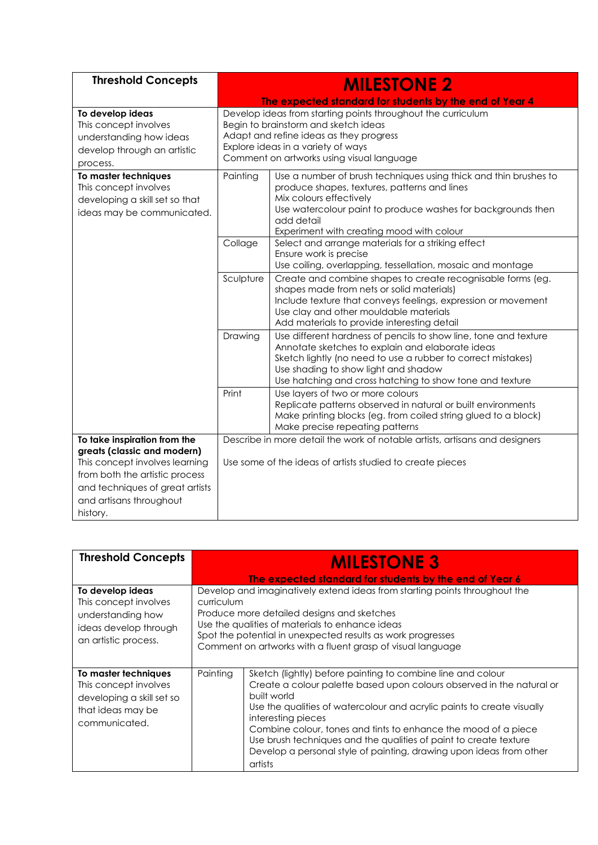| <b>Threshold Concepts</b>                                                                                       | <b>MILESTONE 2</b>                                                                                                                                                                                                                 |                                                                                                                                                                                                                                                                                          |  |
|-----------------------------------------------------------------------------------------------------------------|------------------------------------------------------------------------------------------------------------------------------------------------------------------------------------------------------------------------------------|------------------------------------------------------------------------------------------------------------------------------------------------------------------------------------------------------------------------------------------------------------------------------------------|--|
|                                                                                                                 |                                                                                                                                                                                                                                    | The expected standard for students by the end of Year 4                                                                                                                                                                                                                                  |  |
| To develop ideas<br>This concept involves<br>understanding how ideas<br>develop through an artistic<br>process. | Develop ideas from starting points throughout the curriculum<br>Begin to brainstorm and sketch ideas<br>Adapt and refine ideas as they progress<br>Explore ideas in a variety of ways<br>Comment on artworks using visual language |                                                                                                                                                                                                                                                                                          |  |
| To master techniques<br>This concept involves<br>developing a skill set so that<br>ideas may be communicated.   | Painting                                                                                                                                                                                                                           | Use a number of brush techniques using thick and thin brushes to<br>produce shapes, textures, patterns and lines<br>Mix colours effectively<br>Use watercolour paint to produce washes for backgrounds then<br>add detail<br>Experiment with creating mood with colour                   |  |
|                                                                                                                 | Collage                                                                                                                                                                                                                            | Select and arrange materials for a striking effect<br>Ensure work is precise<br>Use coiling, overlapping, tessellation, mosaic and montage                                                                                                                                               |  |
|                                                                                                                 | Sculpture                                                                                                                                                                                                                          | Create and combine shapes to create recognisable forms (eg.<br>shapes made from nets or solid materials)<br>Include texture that conveys feelings, expression or movement<br>Use clay and other mouldable materials<br>Add materials to provide interesting detail                       |  |
|                                                                                                                 | Drawing                                                                                                                                                                                                                            | Use different hardness of pencils to show line, tone and texture<br>Annotate sketches to explain and elaborate ideas<br>Sketch lightly (no need to use a rubber to correct mistakes)<br>Use shading to show light and shadow<br>Use hatching and cross hatching to show tone and texture |  |
|                                                                                                                 | Print                                                                                                                                                                                                                              | Use layers of two or more colours<br>Replicate patterns observed in natural or built environments<br>Make printing blocks (eg. from coiled string glued to a block)<br>Make precise repeating patterns                                                                                   |  |
| To take inspiration from the                                                                                    |                                                                                                                                                                                                                                    | Describe in more detail the work of notable artists, artisans and designers                                                                                                                                                                                                              |  |
| greats (classic and modern)<br>This concept involves learning<br>from both the artistic process                 | Use some of the ideas of artists studied to create pieces                                                                                                                                                                          |                                                                                                                                                                                                                                                                                          |  |
| and techniques of great artists<br>and artisans throughout<br>history.                                          |                                                                                                                                                                                                                                    |                                                                                                                                                                                                                                                                                          |  |

| <b>Threshold Concepts</b>                                                                                        | <b>MILESTONE 3</b><br>The expected standard for students by the end of Year 6                                                                                                                                                                                                                                          |                                                                                                                                                                                                                                                                                                                                                                                                                                                                              |  |
|------------------------------------------------------------------------------------------------------------------|------------------------------------------------------------------------------------------------------------------------------------------------------------------------------------------------------------------------------------------------------------------------------------------------------------------------|------------------------------------------------------------------------------------------------------------------------------------------------------------------------------------------------------------------------------------------------------------------------------------------------------------------------------------------------------------------------------------------------------------------------------------------------------------------------------|--|
| To develop ideas<br>This concept involves<br>understanding how<br>ideas develop through<br>an artistic process.  | Develop and imaginatively extend ideas from starting points throughout the<br>curriculum<br>Produce more detailed designs and sketches<br>Use the qualities of materials to enhance ideas<br>Spot the potential in unexpected results as work progresses<br>Comment on artworks with a fluent grasp of visual language |                                                                                                                                                                                                                                                                                                                                                                                                                                                                              |  |
| To master techniques<br>This concept involves<br>developing a skill set so<br>that ideas may be<br>communicated. | Painting                                                                                                                                                                                                                                                                                                               | Sketch (lightly) before painting to combine line and colour<br>Create a colour palette based upon colours observed in the natural or<br>built world<br>Use the qualities of watercolour and acrylic paints to create visually<br>interesting pieces<br>Combine colour, tones and tints to enhance the mood of a piece<br>Use brush techniques and the qualities of paint to create texture<br>Develop a personal style of painting, drawing upon ideas from other<br>artists |  |